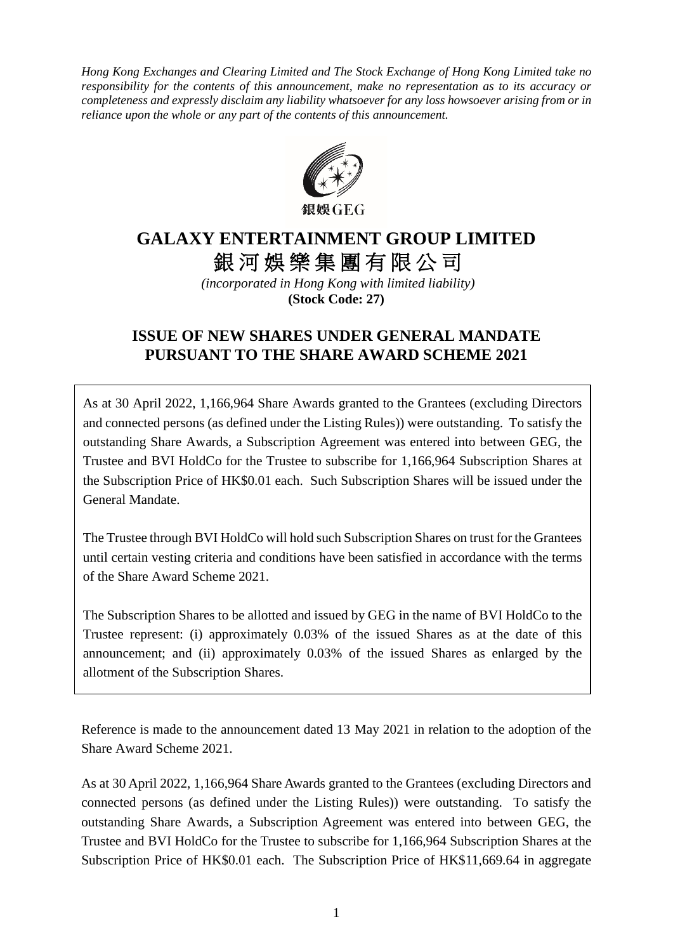*Hong Kong Exchanges and Clearing Limited and The Stock Exchange of Hong Kong Limited take no responsibility for the contents of this announcement, make no representation as to its accuracy or completeness and expressly disclaim any liability whatsoever for any loss howsoever arising from or in reliance upon the whole or any part of the contents of this announcement.*



## **GALAXY ENTERTAINMENT GROUP LIMITED** 銀河娛樂集團有限公司

*(incorporated in Hong Kong with limited liability)* **(Stock Code: 27)**

## **ISSUE OF NEW SHARES UNDER GENERAL MANDATE PURSUANT TO THE SHARE AWARD SCHEME 2021**

As at 30 April 2022, 1,166,964 Share Awards granted to the Grantees (excluding Directors and connected persons (as defined under the Listing Rules)) were outstanding. To satisfy the outstanding Share Awards, a Subscription Agreement was entered into between GEG, the Trustee and BVI HoldCo for the Trustee to subscribe for 1,166,964 Subscription Shares at the Subscription Price of HK\$0.01 each. Such Subscription Shares will be issued under the General Mandate.

The Trustee through BVI HoldCo will hold such Subscription Shares on trust for the Grantees until certain vesting criteria and conditions have been satisfied in accordance with the terms of the Share Award Scheme 2021.

The Subscription Shares to be allotted and issued by GEG in the name of BVI HoldCo to the Trustee represent: (i) approximately 0.03% of the issued Shares as at the date of this announcement; and (ii) approximately 0.03% of the issued Shares as enlarged by the allotment of the Subscription Shares.

Reference is made to the announcement dated 13 May 2021 in relation to the adoption of the Share Award Scheme 2021.

As at 30 April 2022, 1,166,964 Share Awards granted to the Grantees (excluding Directors and connected persons (as defined under the Listing Rules)) were outstanding. To satisfy the outstanding Share Awards, a Subscription Agreement was entered into between GEG, the Trustee and BVI HoldCo for the Trustee to subscribe for 1,166,964 Subscription Shares at the Subscription Price of HK\$0.01 each. The Subscription Price of HK\$11,669.64 in aggregate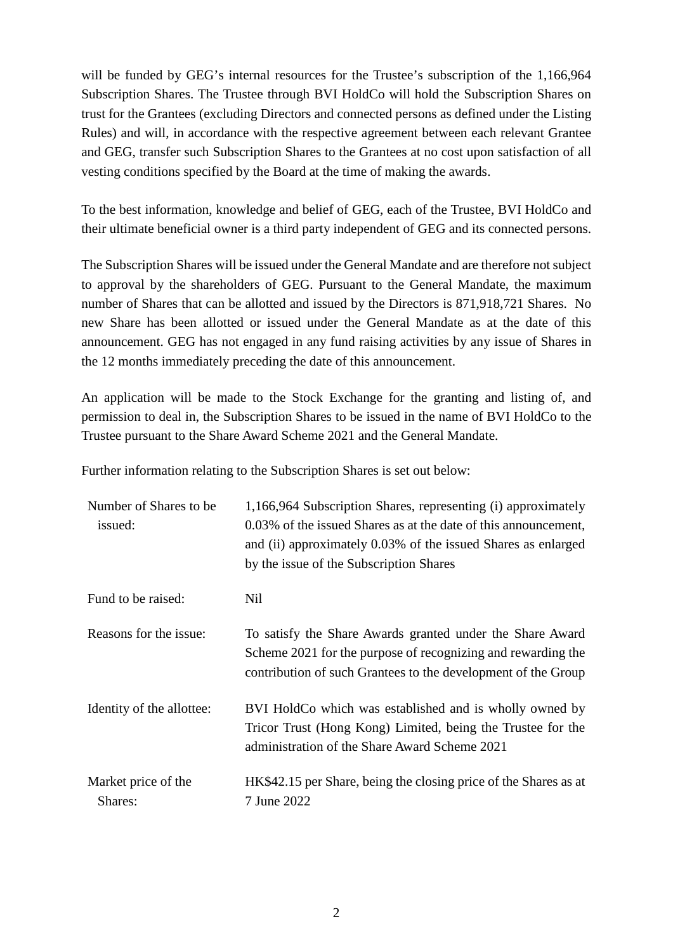will be funded by GEG's internal resources for the Trustee's subscription of the 1,166,964 Subscription Shares. The Trustee through BVI HoldCo will hold the Subscription Shares on trust for the Grantees (excluding Directors and connected persons as defined under the Listing Rules) and will, in accordance with the respective agreement between each relevant Grantee and GEG, transfer such Subscription Shares to the Grantees at no cost upon satisfaction of all vesting conditions specified by the Board at the time of making the awards.

To the best information, knowledge and belief of GEG, each of the Trustee, BVI HoldCo and their ultimate beneficial owner is a third party independent of GEG and its connected persons.

The Subscription Shares will be issued under the General Mandate and are therefore not subject to approval by the shareholders of GEG. Pursuant to the General Mandate, the maximum number of Shares that can be allotted and issued by the Directors is 871,918,721 Shares. No new Share has been allotted or issued under the General Mandate as at the date of this announcement. GEG has not engaged in any fund raising activities by any issue of Shares in the 12 months immediately preceding the date of this announcement.

An application will be made to the Stock Exchange for the granting and listing of, and permission to deal in, the Subscription Shares to be issued in the name of BVI HoldCo to the Trustee pursuant to the Share Award Scheme 2021 and the General Mandate.

Further information relating to the Subscription Shares is set out below:

| Number of Shares to be.<br>issued: | 1,166,964 Subscription Shares, representing (i) approximately<br>0.03% of the issued Shares as at the date of this announcement,<br>and (ii) approximately 0.03% of the issued Shares as enlarged<br>by the issue of the Subscription Shares |
|------------------------------------|----------------------------------------------------------------------------------------------------------------------------------------------------------------------------------------------------------------------------------------------|
| Fund to be raised:                 | <b>Nil</b>                                                                                                                                                                                                                                   |
| Reasons for the issue:             | To satisfy the Share Awards granted under the Share Award<br>Scheme 2021 for the purpose of recognizing and rewarding the<br>contribution of such Grantees to the development of the Group                                                   |
| Identity of the allottee:          | BVI HoldCo which was established and is wholly owned by<br>Tricor Trust (Hong Kong) Limited, being the Trustee for the<br>administration of the Share Award Scheme 2021                                                                      |
| Market price of the<br>Shares:     | HK\$42.15 per Share, being the closing price of the Shares as at<br>7 June 2022                                                                                                                                                              |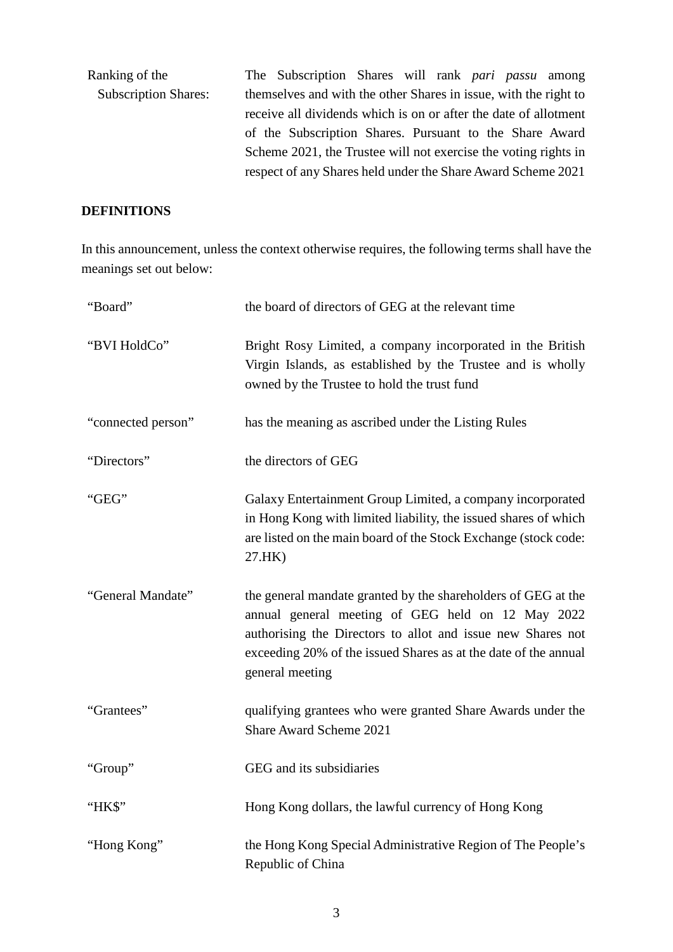| Ranking of the              | The Subscription Shares will rank <i>pari passu</i> among        |  |  |  |
|-----------------------------|------------------------------------------------------------------|--|--|--|
| <b>Subscription Shares:</b> | themselves and with the other Shares in issue, with the right to |  |  |  |
|                             | receive all dividends which is on or after the date of allotment |  |  |  |
|                             | of the Subscription Shares. Pursuant to the Share Award          |  |  |  |
|                             | Scheme 2021, the Trustee will not exercise the voting rights in  |  |  |  |
|                             | respect of any Shares held under the Share Award Scheme 2021     |  |  |  |

## **DEFINITIONS**

In this announcement, unless the context otherwise requires, the following terms shall have the meanings set out below:

| "Board"            | the board of directors of GEG at the relevant time                                                                                                                                                                                                                      |
|--------------------|-------------------------------------------------------------------------------------------------------------------------------------------------------------------------------------------------------------------------------------------------------------------------|
| "BVI HoldCo"       | Bright Rosy Limited, a company incorporated in the British<br>Virgin Islands, as established by the Trustee and is wholly<br>owned by the Trustee to hold the trust fund                                                                                                |
| "connected person" | has the meaning as ascribed under the Listing Rules                                                                                                                                                                                                                     |
| "Directors"        | the directors of GEG                                                                                                                                                                                                                                                    |
| "GEG"              | Galaxy Entertainment Group Limited, a company incorporated<br>in Hong Kong with limited liability, the issued shares of which<br>are listed on the main board of the Stock Exchange (stock code:<br>27.HK)                                                              |
| "General Mandate"  | the general mandate granted by the shareholders of GEG at the<br>annual general meeting of GEG held on 12 May 2022<br>authorising the Directors to allot and issue new Shares not<br>exceeding 20% of the issued Shares as at the date of the annual<br>general meeting |
| "Grantees"         | qualifying grantees who were granted Share Awards under the<br>Share Award Scheme 2021                                                                                                                                                                                  |
| "Group"            | GEG and its subsidiaries                                                                                                                                                                                                                                                |
| "HK\$"             | Hong Kong dollars, the lawful currency of Hong Kong                                                                                                                                                                                                                     |
| "Hong Kong"        | the Hong Kong Special Administrative Region of The People's<br>Republic of China                                                                                                                                                                                        |